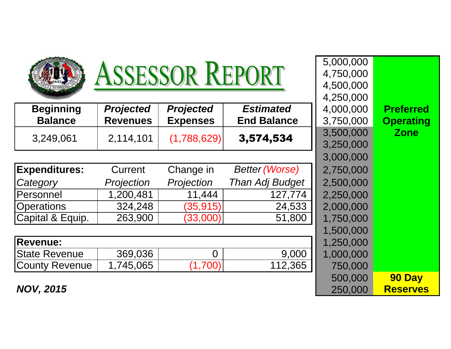| <b>ASSESSOR REPORT</b>             |                                     |                                     |                                        | 5,000,000<br>4,750,000<br>4,500,000 |                                      |
|------------------------------------|-------------------------------------|-------------------------------------|----------------------------------------|-------------------------------------|--------------------------------------|
| <b>Beginning</b><br><b>Balance</b> | <b>Projected</b><br><b>Revenues</b> | <b>Projected</b><br><b>Expenses</b> | <b>Estimated</b><br><b>End Balance</b> | 4,250,000<br>4,000,000<br>3,750,000 | <b>Preferred</b><br><b>Operating</b> |
| 3,249,061                          | 2,114,101                           | (1,788,629)                         | 3,574,534                              | 3,500,000<br>3,250,000              | <b>Zone</b>                          |
| <b>Expenditures:</b>               | Current                             | Change in                           | <b>Better (Worse)</b>                  | 3,000,000<br>2,750,000              |                                      |
| Category                           | Projection                          | Projection                          | Than Adj Budget                        | 2,500,000                           |                                      |
| Personnel                          | 1,200,481                           | 11,444                              | 127,774                                | 2,250,000                           |                                      |
| <b>Operations</b>                  | 324,248                             | (35, 915)                           | 24,533                                 | 2,000,000                           |                                      |
| Capital & Equip.                   | 263,900                             | (33,000)                            | 51,800                                 | 1,750,000                           |                                      |
|                                    |                                     |                                     |                                        | 1,500,000                           |                                      |
| <b>Revenue:</b>                    |                                     |                                     |                                        | 1,250,000                           |                                      |
| <b>State Revenue</b>               | 369,036                             | $\Omega$                            | 9,000                                  | 1,000,000                           |                                      |
| <b>County Revenue</b>              | 1,745,065                           | (1,700)                             | 112,365                                | 750,000                             |                                      |
| <b>NOV, 2015</b>                   |                                     |                                     |                                        | 500,000<br>250,000                  | 90 Day<br><b>Reserves</b>            |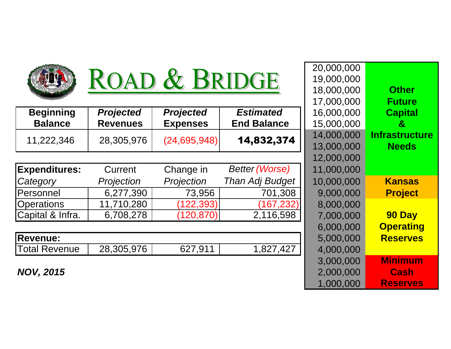

## ROAD & BRIDGE

|                      |                  |                  |                       | , , , , , , , , , , , , , | .                  |
|----------------------|------------------|------------------|-----------------------|---------------------------|--------------------|
| <b>Beginning</b>     | <b>Projected</b> | <b>Projected</b> | <b>Estimated</b>      | 16,000,000                | <b>Capital</b>     |
| <b>Balance</b>       | <b>Revenues</b>  | <b>Expenses</b>  | <b>End Balance</b>    | 15,000,000                | $\mathbf{g}$       |
| 11,222,346           | 28,305,976       | (24, 695, 948)   | 14,832,374            | 14,000,000                | <b>Infrastruct</b> |
|                      |                  |                  |                       | 13,000,000                | <b>Needs</b>       |
|                      |                  |                  |                       | 12,000,000                |                    |
| <b>Expenditures:</b> | Current          | Change in        | <b>Better (Worse)</b> | 11,000,000                |                    |
| Category             | Projection       | Projection       | Than Adj Budget       | 10,000,000                | <b>Kansas</b>      |
| Personnel            | 6,277,390        | 73,956           | 701,308               | 9,000,000                 | <b>Project</b>     |
| <b>Operations</b>    | 11,710,280       | (122, 393)       | (167, 232)            | 8,000,000                 |                    |
| Capital & Infra.     | 6,708,278        | (120, 870)       | 2,116,598             | 7,000,000                 | 90 Day             |
|                      |                  |                  |                       | 6,000,000                 | <b>Operatin</b>    |
| <b>Revenue:</b>      |                  |                  |                       | 5,000,000                 | <b>Reserve</b>     |
| <b>Total Revenue</b> | 28,305,976       | 627,911          | 1,827,427             | 4,000,000                 |                    |
|                      |                  |                  |                       |                           |                    |

**NOV, 2015**

|        | ROAD & BRIDGE    |                  |                       | 20,000,000<br>19,000,000 |                       |
|--------|------------------|------------------|-----------------------|--------------------------|-----------------------|
|        |                  |                  |                       | 18,000,000               | <b>Other</b>          |
|        |                  |                  |                       | 17,000,000               | <b>Future</b>         |
| ing    | <b>Projected</b> | <b>Projected</b> | <b>Estimated</b>      | 16,000,000               | <b>Capital</b>        |
| ce     | <b>Revenues</b>  | <b>Expenses</b>  | <b>End Balance</b>    | 15,000,000               | &                     |
| 346    | 28,305,976       | (24, 695, 948)   | 14,832,374            | 14,000,000               | <b>Infrastructure</b> |
|        |                  |                  |                       | 13,000,000               | <b>Needs</b>          |
|        |                  |                  |                       | 12,000,000               |                       |
| ures:  | Current          | Change in        | <b>Better (Worse)</b> | 11,000,000               |                       |
|        | Projection       | Projection       | Than Adj Budget       | 10,000,000               | <b>Kansas</b>         |
|        | 6,277,390        | 73,956           | 701,308               | 9,000,000                | <b>Project</b>        |
| S      | 11,710,280       | 122,393)         | (167, 232)            | 8,000,000                |                       |
| Infra. | 6,708,278        | (120, 870)       | 2,116,598             | 7,000,000                | 90 Day                |
|        |                  |                  |                       | 6,000,000                | <b>Operating</b>      |
|        |                  |                  |                       | 5,000,000                | <b>Reserves</b>       |
| enue   | 28,305,976       | 627,911          | 1,827,427             | 4,000,000                |                       |
|        |                  |                  |                       | 3,000,000                | <b>Minimum</b>        |
| 5      |                  |                  |                       | 2,000,000                | <b>Cash</b>           |
|        |                  |                  |                       | 1,000,000                | <b>Reserves</b>       |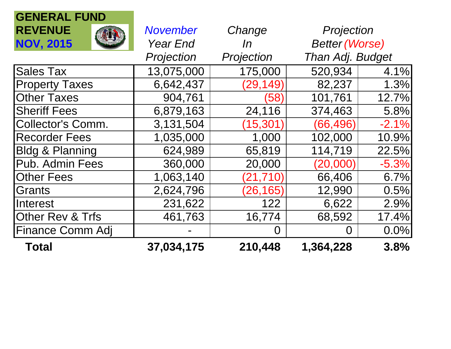| <b>GENERAL FUND</b>        |                 |            |                       |         |
|----------------------------|-----------------|------------|-----------------------|---------|
| <b>REVENUE</b>             | <b>November</b> | Change     | Projection            |         |
| <b>NOV, 2015</b>           | <b>Year End</b> | In         | <b>Better (Worse)</b> |         |
|                            | Projection      | Projection | Than Adj. Budget      |         |
| <b>Sales Tax</b>           | 13,075,000      | 175,000    | 520,934               | 4.1%    |
| <b>Property Taxes</b>      | 6,642,437       | (29, 149)  | 82,237                | 1.3%    |
| <b>Other Taxes</b>         | 904,761         | (58)       | 101,761               | 12.7%   |
| <b>Sheriff Fees</b>        | 6,879,163       | 24,116     | 374,463               | 5.8%    |
| Collector's Comm.          | 3,131,504       | (15, 301)  | (66,496)              | $-2.1%$ |
| <b>Recorder Fees</b>       | 1,035,000       | 1,000      | 102,000               | 10.9%   |
| <b>Bldg &amp; Planning</b> | 624,989         | 65,819     | 114,719               | 22.5%   |
| Pub. Admin Fees            | 360,000         | 20,000     | (20,000)              | $-5.3%$ |
| <b>Other Fees</b>          | 1,063,140       | (21, 710)  | 66,406                | 6.7%    |
| Grants                     | 2,624,796       | (26, 165)  | 12,990                | 0.5%    |
| <b>Interest</b>            | 231,622         | 122        | 6,622                 | 2.9%    |
| Other Rev & Trfs           | 461,763         | 16,774     | 68,592                | 17.4%   |
| Finance Comm Adj           |                 | O          | O                     | 0.0%    |
| <b>Total</b>               | 37,034,175      | 210,448    | 1,364,228             | 3.8%    |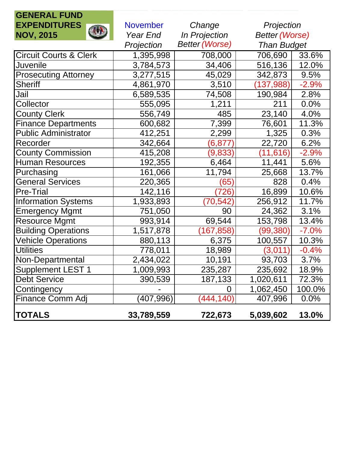| <b>GENERAL FUND</b>               |                           |                       |                       |         |
|-----------------------------------|---------------------------|-----------------------|-----------------------|---------|
| <b>EXPENDITURES</b>               | <b>November</b><br>Change |                       | Projection            |         |
| <b>ALLA</b><br><b>NOV, 2015</b>   | Year End                  | <b>In Projection</b>  | <b>Better (Worse)</b> |         |
|                                   | Projection                | <b>Better (Worse)</b> | <b>Than Budget</b>    |         |
| <b>Circuit Courts &amp; Clerk</b> | 1,395,998                 | 708,000               | 706,690               | 33.6%   |
| Juvenile                          | 3,784,573                 | 34,406                | 516,136               | 12.0%   |
| <b>Prosecuting Attorney</b>       | 3,277,515                 | 45,029                | 342,873               | 9.5%    |
| <b>Sheriff</b>                    | 4,861,970                 | 3,510                 | (137, 988)            | $-2.9%$ |
| Jail                              | 6,589,535                 | 74,508                | 190,984               | 2.8%    |
| Collector                         | 555,095                   | 1,211                 | 211                   | 0.0%    |
| <b>County Clerk</b>               | 556,749                   | 485                   | 23,140                | 4.0%    |
| <b>Finance Departments</b>        | 600,682                   | 7,399                 | 76,601                | 11.3%   |
| <b>Public Administrator</b>       | 412,251                   | 2,299                 | 1,325                 | 0.3%    |
| Recorder                          | 342,664                   | $(6,\!877)$           | 22,720                | 6.2%    |
| <b>County Commission</b>          | 415,208                   | (9,833)               | (11, 616)             | $-2.9%$ |
| <b>Human Resources</b>            | 192,355                   | 6,464                 | 11,441                | 5.6%    |
| Purchasing                        | 161,066                   | 11,794                | 25,668                | 13.7%   |
| <b>General Services</b>           | 220,365                   | (65)                  | 828                   | 0.4%    |
| <b>Pre-Trial</b>                  | 142,116                   | (726)                 | 16,899                | 10.6%   |
| <b>Information Systems</b>        | 1,933,893                 | (70,542)              | 256,912               | 11.7%   |
| Emergency Mgmt                    | 751,050                   | 90                    | 24,362                | 3.1%    |
| <b>Resource Mgmt</b>              | 993,914                   | 69,544                | 153,798               | 13.4%   |
| <b>Building Operations</b>        | 1,517,878                 | (167, 858)            | (99, 380)             | $-7.0%$ |
| <b>Vehicle Operations</b>         | 880,113                   | 6,375                 | 100,557               | 10.3%   |
| <b>Utilities</b>                  | 778,011                   | 18,989                | (3,011)               | $-0.4%$ |
| Non-Departmental                  | 2,434,022                 | 10,191                | 93,703                | 3.7%    |
| <b>Supplement LEST 1</b>          | 1,009,993                 | 235,287               | 235,692               | 18.9%   |
| <b>Debt Service</b>               | 390,539                   | 187,133               | 1,020,611             | 72.3%   |
| Contingency                       |                           | 0                     | 1,062,450             | 100.0%  |
| Finance Comm Adj                  | (407, 996)                | (444, 140)            | 407,996               | 0.0%    |
| <b>TOTALS</b>                     | 33,789,559                | 722,673               | 5,039,602             | 13.0%   |